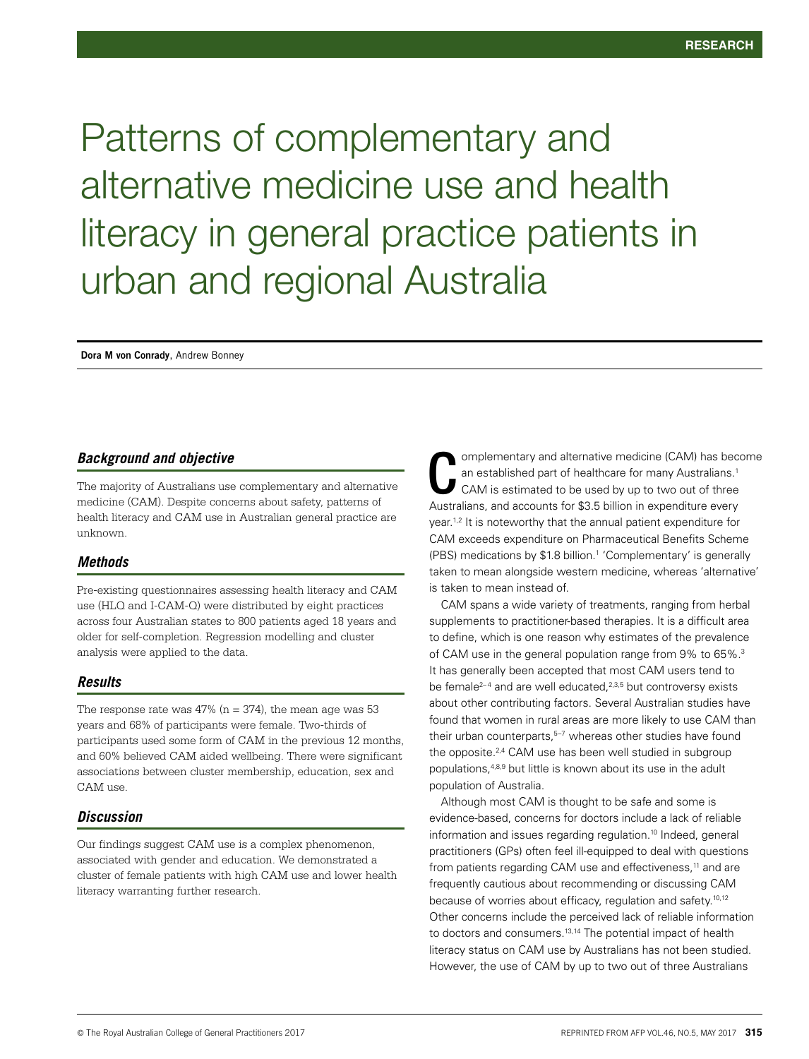Patterns of complementary and alternative medicine use and health literacy in general practice patients in urban and regional Australia

**Dora M von Conrady**, Andrew Bonney

## *Background and objective*

The majority of Australians use complementary and alternative medicine (CAM). Despite concerns about safety, patterns of health literacy and CAM use in Australian general practice are unknown.

## *Methods*

Pre-existing questionnaires assessing health literacy and CAM use (HLQ and I-CAM-Q) were distributed by eight practices across four Australian states to 800 patients aged 18 years and older for self-completion. Regression modelling and cluster analysis were applied to the data.

## *Results*

The response rate was  $47\%$  (n = 374), the mean age was 53 years and 68% of participants were female. Two-thirds of participants used some form of CAM in the previous 12 months, and 60% believed CAM aided wellbeing. There were significant associations between cluster membership, education, sex and CAM use.

## *Discussion*

Our findings suggest CAM use is a complex phenomenon, associated with gender and education. We demonstrated a cluster of female patients with high CAM use and lower health literacy warranting further research.

omplementary and alternative medicine (CAM) has become an established part of healthcare for many Australians.<sup>1</sup> CAM is estimated to be used by up to two out of three Australians, and accounts for \$3.5 billion in expenditure every year.<sup>1,2</sup> It is noteworthy that the annual patient expenditure for CAM exceeds expenditure on Pharmaceutical Benefits Scheme (PBS) medications by \$1.8 billion.1 'Complementary' is generally taken to mean alongside western medicine, whereas 'alternative' is taken to mean instead of. C

CAM spans a wide variety of treatments, ranging from herbal supplements to practitioner-based therapies. It is a difficult area to define, which is one reason why estimates of the prevalence of CAM use in the general population range from 9% to 65%.3 It has generally been accepted that most CAM users tend to be female<sup>2-4</sup> and are well educated,<sup>2,3,5</sup> but controversy exists about other contributing factors. Several Australian studies have found that women in rural areas are more likely to use CAM than their urban counterparts,<sup>5-7</sup> whereas other studies have found the opposite.<sup>2,4</sup> CAM use has been well studied in subgroup populations,4,8,9 but little is known about its use in the adult population of Australia.

Although most CAM is thought to be safe and some is evidence-based, concerns for doctors include a lack of reliable information and issues regarding regulation.<sup>10</sup> Indeed, general practitioners (GPs) often feel ill-equipped to deal with questions from patients regarding CAM use and effectiveness,<sup>11</sup> and are frequently cautious about recommending or discussing CAM because of worries about efficacy, regulation and safety.<sup>10,12</sup> Other concerns include the perceived lack of reliable information to doctors and consumers.13,14 The potential impact of health literacy status on CAM use by Australians has not been studied. However, the use of CAM by up to two out of three Australians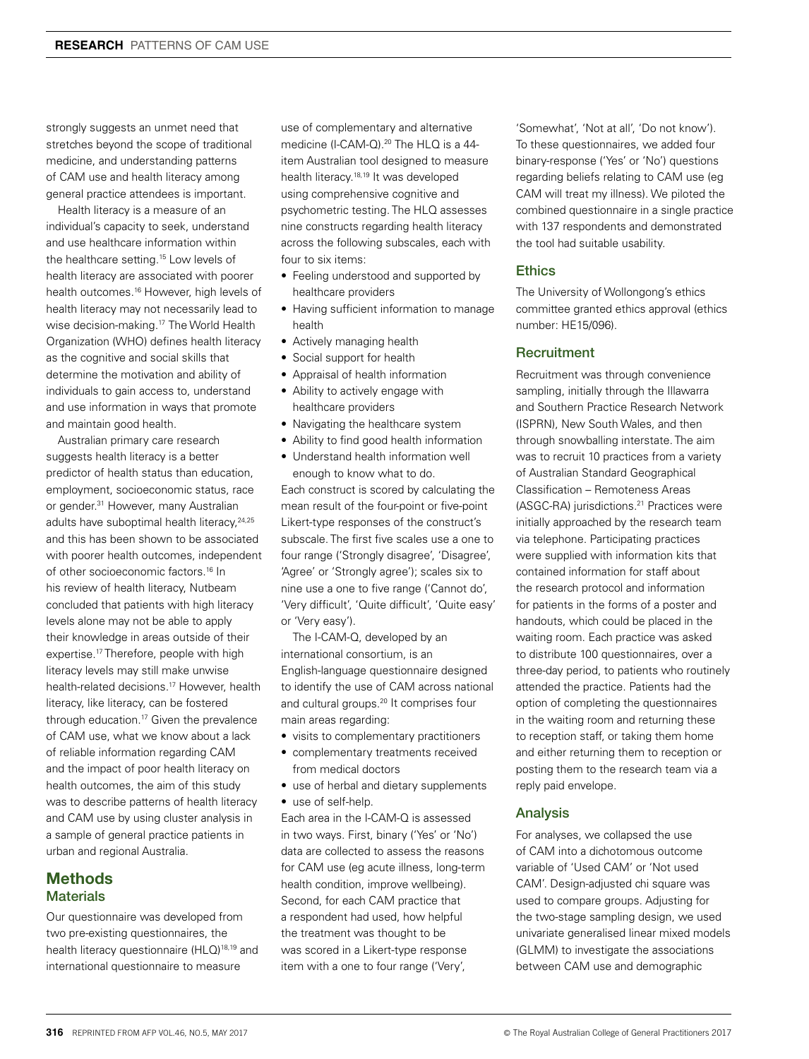strongly suggests an unmet need that stretches beyond the scope of traditional medicine, and understanding patterns of CAM use and health literacy among general practice attendees is important.

Health literacy is a measure of an individual's capacity to seek, understand and use healthcare information within the healthcare setting.15 Low levels of health literacy are associated with poorer health outcomes.<sup>16</sup> However, high levels of health literacy may not necessarily lead to wise decision-making.17 The World Health Organization (WHO) defines health literacy as the cognitive and social skills that determine the motivation and ability of individuals to gain access to, understand and use information in ways that promote and maintain good health.

Australian primary care research suggests health literacy is a better predictor of health status than education, employment, socioeconomic status, race or gender.<sup>31</sup> However, many Australian adults have suboptimal health literacy, <sup>24,25</sup> and this has been shown to be associated with poorer health outcomes, independent of other socioeconomic factors.16 In his review of health literacy, Nutbeam concluded that patients with high literacy levels alone may not be able to apply their knowledge in areas outside of their expertise.17 Therefore, people with high literacy levels may still make unwise health-related decisions.17 However, health literacy, like literacy, can be fostered through education.17 Given the prevalence of CAM use, what we know about a lack of reliable information regarding CAM and the impact of poor health literacy on health outcomes, the aim of this study was to describe patterns of health literacy and CAM use by using cluster analysis in a sample of general practice patients in urban and regional Australia.

# Methods **Materials**

Our questionnaire was developed from two pre-existing questionnaires, the health literacy questionnaire (HLQ)<sup>18,19</sup> and international questionnaire to measure

use of complementary and alternative medicine (I-CAM-Q).<sup>20</sup> The HLQ is a 44item Australian tool designed to measure health literacy.18,19 It was developed using comprehensive cognitive and psychometric testing. The HLQ assesses nine constructs regarding health literacy across the following subscales, each with four to six items:

- Feeling understood and supported by healthcare providers
- Having sufficient information to manage health
- Actively managing health
- Social support for health
- Appraisal of health information
- Ability to actively engage with healthcare providers
- Navigating the healthcare system
- Ability to find good health information
- Understand health information well enough to know what to do.

Each construct is scored by calculating the mean result of the four-point or five-point Likert-type responses of the construct's subscale. The first five scales use a one to four range ('Strongly disagree', 'Disagree', 'Agree' or 'Strongly agree'); scales six to nine use a one to five range ('Cannot do', 'Very difficult', 'Quite difficult', 'Quite easy' or 'Very easy').

The I-CAM-Q, developed by an international consortium, is an English-language questionnaire designed to identify the use of CAM across national and cultural groups.20 It comprises four main areas regarding:

- visits to complementary practitioners
- complementary treatments received from medical doctors
- use of herbal and dietary supplements
- use of self-help.

Each area in the I-CAM-Q is assessed in two ways. First, binary ('Yes' or 'No') data are collected to assess the reasons for CAM use (eg acute illness, long-term health condition, improve wellbeing). Second, for each CAM practice that a respondent had used, how helpful the treatment was thought to be was scored in a Likert-type response item with a one to four range ('Very',

'Somewhat', 'Not at all', 'Do not know'). To these questionnaires, we added four binary-response ('Yes' or 'No') questions regarding beliefs relating to CAM use (eg CAM will treat my illness). We piloted the combined questionnaire in a single practice with 137 respondents and demonstrated the tool had suitable usability.

## **Ethics**

The University of Wollongong's ethics committee granted ethics approval (ethics number: HE15/096).

### **Recruitment**

Recruitment was through convenience sampling, initially through the Illawarra and Southern Practice Research Network (ISPRN), New South Wales, and then through snowballing interstate. The aim was to recruit 10 practices from a variety of Australian Standard Geographical Classification – Remoteness Areas (ASGC-RA) jurisdictions.21 Practices were initially approached by the research team via telephone. Participating practices were supplied with information kits that contained information for staff about the research protocol and information for patients in the forms of a poster and handouts, which could be placed in the waiting room. Each practice was asked to distribute 100 questionnaires, over a three-day period, to patients who routinely attended the practice. Patients had the option of completing the questionnaires in the waiting room and returning these to reception staff, or taking them home and either returning them to reception or posting them to the research team via a reply paid envelope.

## Analysis

For analyses, we collapsed the use of CAM into a dichotomous outcome variable of 'Used CAM' or 'Not used CAM'. Design-adjusted chi square was used to compare groups. Adjusting for the two-stage sampling design, we used univariate generalised linear mixed models (GLMM) to investigate the associations between CAM use and demographic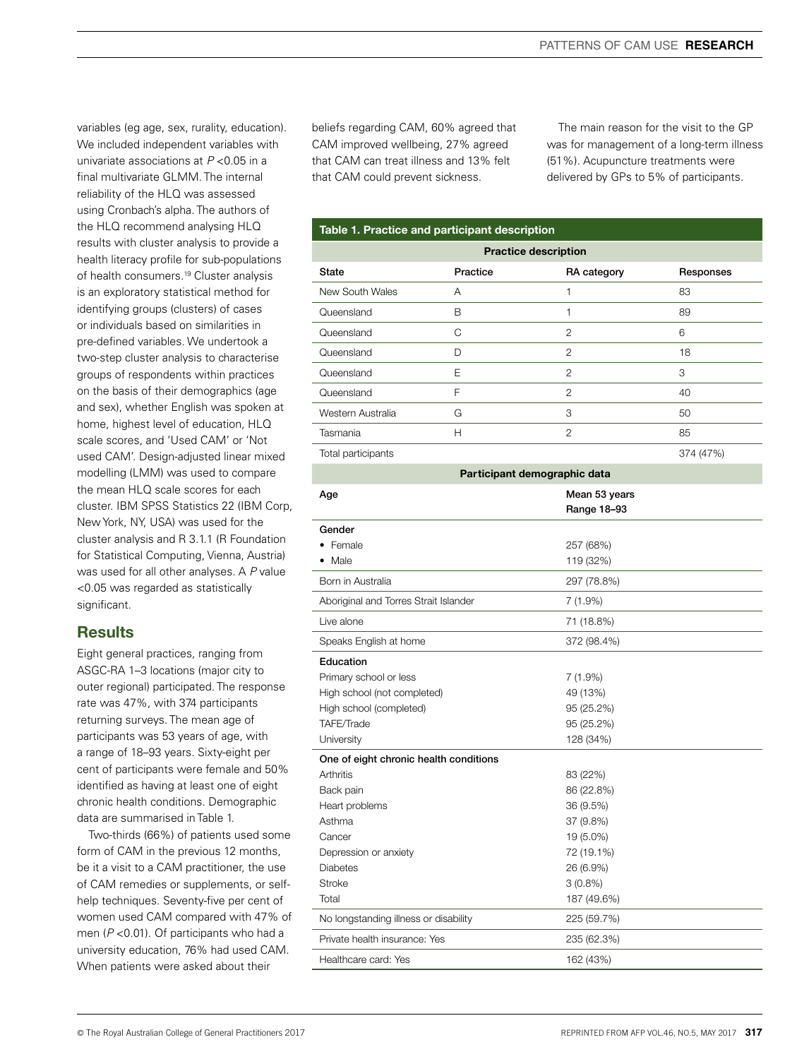variables (eg age, sex, rurality, education). We included independent variables with univariate associations at *P* <0.05 in a final multivariate GLMM. The internal reliability of the HLQ was assessed using Cronbach's alpha. The authors of the HLQ recommend analysing HLQ results with cluster analysis to provide a health literacy profile for sub-populations of health consumers.<sup>19</sup> Cluster analysis is an exploratory statistical method for identifying groups (clusters) of cases or individuals based on similarities in pre-defined variables. We undertook a two-step cluster analysis to characterise groups of respondents within practices on the basis of their demographics (age and sex), whether English was spoken at home, highest level of education, HLQ scale scores, and 'Used CAM' or 'Not used CAM'. Design-adjusted linear mixed modelling (LMM) was used to compare the mean HLQ scale scores for each cluster. IBM SPSS Statistics 22 (IBM Corp, New York, NY, USA) was used for the cluster analysis and R 3.1.1 (R Foundation for Statistical Computing, Vienna, Austria) was used for all other analyses. A *P* value <0.05 was regarded as statistically significant.

# **Results**

Eight general practices, ranging from ASGC-RA 1–3 locations (major city to outer regional) participated. The response rate was 47%, with 374 participants returning surveys. The mean age of participants was 53 years of age, with a range of 18–93 years. Sixty-eight per cent of participants were female and 50% identified as having at least one of eight chronic health conditions. Demographic data are summarised in Table 1.

Two-thirds (66%) of patients used some form of CAM in the previous 12 months, be it a visit to a CAM practitioner, the use of CAM remedies or supplements, or selfhelp techniques. Seventy-five per cent of women used CAM compared with 47% of men (*P* <0.01). Of participants who had a university education, 76% had used CAM. When patients were asked about their

beliefs regarding CAM, 60% agreed that CAM improved wellbeing, 27% agreed that CAM can treat illness and 13% felt that CAM could prevent sickness.

The main reason for the visit to the GP was for management of a long-term illness (51%). Acupuncture treatments were delivered by GPs to 5% of participants.

### Table 1. Practice and participant description

| <b>Practice description</b> |          |                |           |  |
|-----------------------------|----------|----------------|-----------|--|
| State                       | Practice | RA category    | Responses |  |
| New South Wales             | А        |                | 83        |  |
| Queensland                  | B        | 1              | 89        |  |
| Queensland                  | C        | $\mathfrak{p}$ | 6         |  |
| Queensland                  | D        | $\overline{2}$ | 18        |  |
| Queensland                  | E        | $\mathfrak{p}$ | 3         |  |
| Queensland                  | F        | $\mathfrak{p}$ | 40        |  |
| Western Australia           | G        | 3              | 50        |  |
| Tasmania                    | Н        | $\overline{c}$ | 85        |  |
| Total participants          |          |                | 374 (47%) |  |

| Participant demographic data           |               |  |  |  |
|----------------------------------------|---------------|--|--|--|
| Age                                    | Mean 53 years |  |  |  |
|                                        | Range 18-93   |  |  |  |
| Gender                                 |               |  |  |  |
| Female                                 | 257 (68%)     |  |  |  |
| • Male                                 | 119 (32%)     |  |  |  |
| Born in Australia                      | 297 (78.8%)   |  |  |  |
| Aboriginal and Torres Strait Islander  | 7(1.9%)       |  |  |  |
| Live alone                             | 71 (18.8%)    |  |  |  |
| Speaks English at home                 | 372 (98.4%)   |  |  |  |
| Education                              |               |  |  |  |
| Primary school or less                 | $7(1.9\%)$    |  |  |  |
| High school (not completed)            | 49 (13%)      |  |  |  |
| High school (completed)                | 95 (25.2%)    |  |  |  |
| TAFE/Trade                             | 95 (25.2%)    |  |  |  |
| University                             | 128 (34%)     |  |  |  |
| One of eight chronic health conditions |               |  |  |  |
| Arthritis                              | 83 (22%)      |  |  |  |
| Back pain                              | 86 (22.8%)    |  |  |  |
| Heart problems                         | 36 (9.5%)     |  |  |  |
| Asthma                                 | 37 (9.8%)     |  |  |  |
| Cancer                                 | 19 (5.0%)     |  |  |  |
| Depression or anxiety                  | 72 (19.1%)    |  |  |  |
| <b>Diabetes</b>                        | 26 (6.9%)     |  |  |  |
| <b>Stroke</b>                          | $3(0.8\%)$    |  |  |  |
| Total                                  | 187 (49.6%)   |  |  |  |
| No longstanding illness or disability  | 225 (59.7%)   |  |  |  |
| Private health insurance: Yes          | 235 (62.3%)   |  |  |  |
| Healthcare card: Yes                   | 162 (43%)     |  |  |  |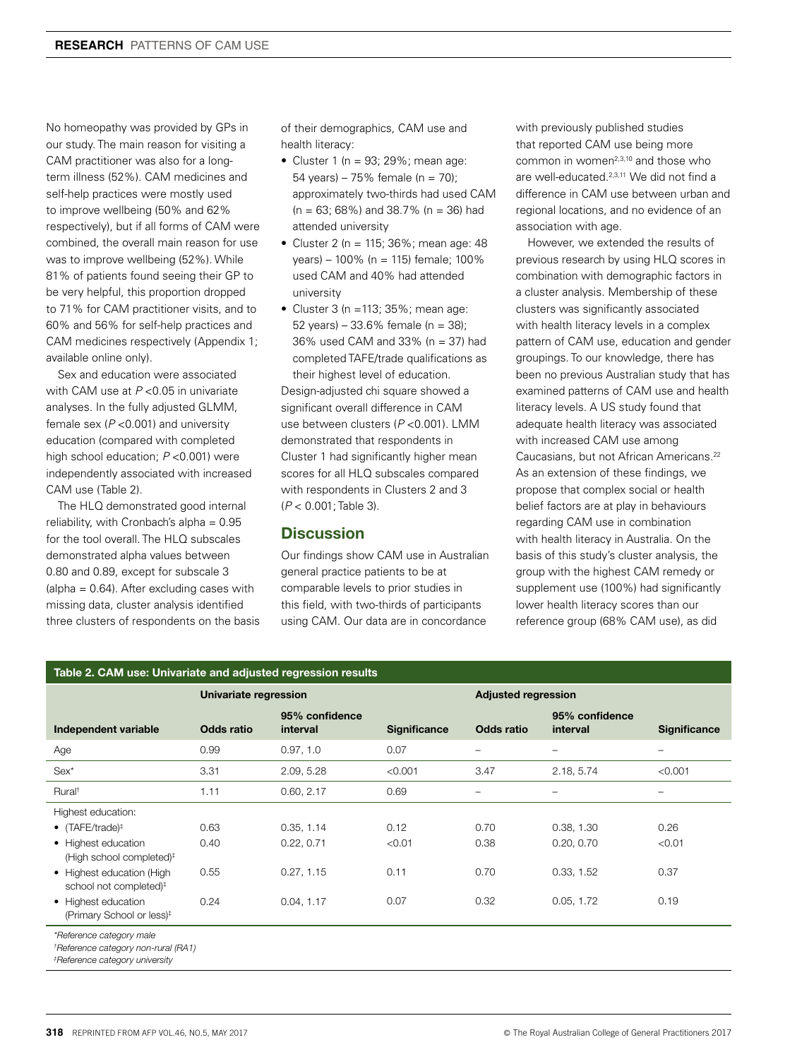No homeopathy was provided by GPs in our study. The main reason for visiting a CAM practitioner was also for a longterm illness (52%). CAM medicines and self-help practices were mostly used to improve wellbeing (50% and 62% respectively), but if all forms of CAM were combined, the overall main reason for use was to improve wellbeing (52%). While 81% of patients found seeing their GP to be very helpful, this proportion dropped to 71% for CAM practitioner visits, and to 60% and 56% for self-help practices and CAM medicines respectively (Appendix 1; available online only).

Sex and education were associated with CAM use at *P* <0.05 in univariate analyses. In the fully adjusted GLMM, female sex (*P* <0.001) and university education (compared with completed high school education; *P* <0.001) were independently associated with increased CAM use (Table 2).

The HLQ demonstrated good internal reliability, with Cronbach's alpha  $= 0.95$ for the tool overall. The HLQ subscales demonstrated alpha values between 0.80 and 0.89, except for subscale 3 (alpha = 0.64). After excluding cases with missing data, cluster analysis identified three clusters of respondents on the basis of their demographics, CAM use and health literacy:

- Cluster 1 ( $n = 93$ ; 29%; mean age: 54 years) – 75% female ( $n = 70$ ); approximately two-thirds had used CAM  $(n = 63; 68\%)$  and 38.7%  $(n = 36)$  had attended university
- Cluster 2 (n = 115;  $36\%$ ; mean age: 48 years) – 100% (n = 115) female; 100% used CAM and 40% had attended university
- Cluster  $3$  (n = 113;  $35\%$ ; mean age: 52 years) – 33.6% female ( $n = 38$ ); 36% used CAM and 33% (n = 37) had completed TAFE/trade qualifications as their highest level of education.

Design-adjusted chi square showed a significant overall difference in CAM use between clusters (*P* <0.001). LMM demonstrated that respondents in Cluster 1 had significantly higher mean scores for all HLQ subscales compared with respondents in Clusters 2 and 3 (*P* < 0.001; Table 3).

## **Discussion**

Our findings show CAM use in Australian general practice patients to be at comparable levels to prior studies in this field, with two-thirds of participants using CAM. Our data are in concordance

with previously published studies that reported CAM use being more common in women<sup>2,3,10</sup> and those who are well-educated.2,3,11 We did not find a difference in CAM use between urban and regional locations, and no evidence of an association with age.

However, we extended the results of previous research by using HLQ scores in combination with demographic factors in a cluster analysis. Membership of these clusters was significantly associated with health literacy levels in a complex pattern of CAM use, education and gender groupings. To our knowledge, there has been no previous Australian study that has examined patterns of CAM use and health literacy levels. A US study found that adequate health literacy was associated with increased CAM use among Caucasians, but not African Americans.22 As an extension of these findings, we propose that complex social or health belief factors are at play in behaviours regarding CAM use in combination with health literacy in Australia. On the basis of this study's cluster analysis, the group with the highest CAM remedy or supplement use (100%) had significantly lower health literacy scores than our reference group (68% CAM use), as did

| Table 2. CAM use: Univariate and adjusted regression results                                                  |                   |                            |                     |                   |                            |                     |
|---------------------------------------------------------------------------------------------------------------|-------------------|----------------------------|---------------------|-------------------|----------------------------|---------------------|
|                                                                                                               |                   | Univariate regression      |                     |                   | <b>Adjusted regression</b> |                     |
| Independent variable                                                                                          | <b>Odds ratio</b> | 95% confidence<br>interval | <b>Significance</b> | <b>Odds ratio</b> | 95% confidence<br>interval | <b>Significance</b> |
| Age                                                                                                           | 0.99              | 0.97, 1.0                  | 0.07                | -                 |                            | -                   |
| $Sex^*$                                                                                                       | 3.31              | 2.09, 5.28                 | < 0.001             | 3.47              | 2.18, 5.74                 | < 0.001             |
| Rural <sup>+</sup>                                                                                            | 1.11              | 0.60, 2.17                 | 0.69                | -                 | $\overline{\phantom{0}}$   | —                   |
| Highest education:                                                                                            |                   |                            |                     |                   |                            |                     |
| • $(TAFE/trade)$ <sup>#</sup>                                                                                 | 0.63              | 0.35, 1.14                 | 0.12                | 0.70              | 0.38, 1.30                 | 0.26                |
| • Highest education<br>(High school completed) <sup>#</sup>                                                   | 0.40              | 0.22, 0.71                 | < 0.01              | 0.38              | 0.20, 0.70                 | < 0.01              |
| • Highest education (High<br>school not completed) <sup>#</sup>                                               | 0.55              | 0.27, 1.15                 | 0.11                | 0.70              | 0.33, 1.52                 | 0.37                |
| • Highest education<br>(Primary School or less) <sup>#</sup>                                                  | 0.24              | 0.04, 1.17                 | 0.07                | 0.32              | 0.05, 1.72                 | 0.19                |
| *Reference category male<br>†Reference category non-rural (RA1)<br><sup>‡</sup> Reference category university |                   |                            |                     |                   |                            |                     |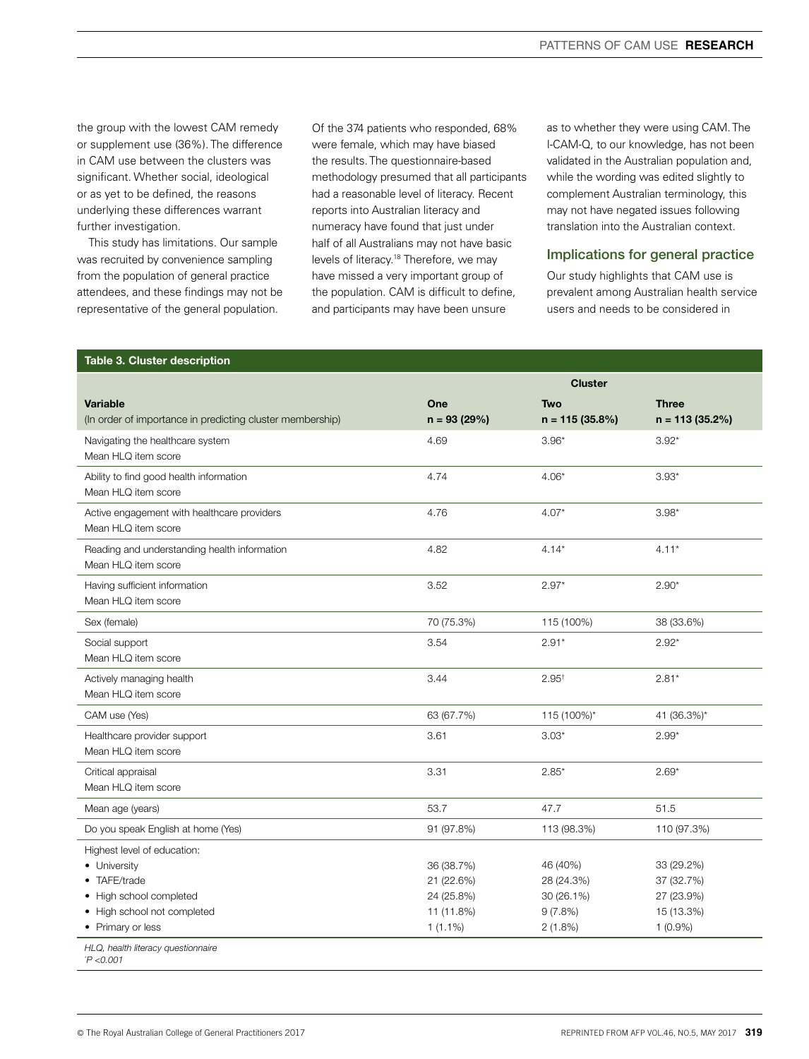the group with the lowest CAM remedy or supplement use (36%). The difference in CAM use between the clusters was significant. Whether social, ideological or as yet to be defined, the reasons underlying these differences warrant further investigation.

This study has limitations. Our sample was recruited by convenience sampling from the population of general practice attendees, and these findings may not be representative of the general population.

Of the 374 patients who responded, 68% were female, which may have biased the results. The questionnaire-based methodology presumed that all participants had a reasonable level of literacy. Recent reports into Australian literacy and numeracy have found that just under half of all Australians may not have basic levels of literacy.18 Therefore, we may have missed a very important group of the population. CAM is difficult to define, and participants may have been unsure

as to whether they were using CAM. The I-CAM-Q, to our knowledge, has not been validated in the Australian population and, while the wording was edited slightly to complement Australian terminology, this may not have negated issues following translation into the Australian context.

## Implications for general practice

Our study highlights that CAM use is prevalent among Australian health service users and needs to be considered in

### Table 3. Cluster description

|                                                                                                                                          |                                                                    | <b>Cluster</b>                                             |                                                                    |
|------------------------------------------------------------------------------------------------------------------------------------------|--------------------------------------------------------------------|------------------------------------------------------------|--------------------------------------------------------------------|
| <b>Variable</b><br>(In order of importance in predicting cluster membership)                                                             | One<br>$n = 93(29%)$                                               | <b>Two</b><br>$n = 115(35.8%)$                             | <b>Three</b><br>$n = 113(35.2%)$                                   |
| Navigating the healthcare system<br>Mean HLQ item score                                                                                  | 4.69                                                               | $3.96*$                                                    | $3.92*$                                                            |
| Ability to find good health information<br>Mean HLQ item score                                                                           | 4.74                                                               | $4.06*$                                                    | $3.93*$                                                            |
| Active engagement with healthcare providers<br>Mean HLQ item score                                                                       | 4.76                                                               | $4.07*$                                                    | $3.98*$                                                            |
| Reading and understanding health information<br>Mean HLQ item score                                                                      | 4.82                                                               | $4.14*$                                                    | $4.11*$                                                            |
| Having sufficient information<br>Mean HLQ item score                                                                                     | 3.52                                                               | $2.97*$                                                    | $2.90*$                                                            |
| Sex (female)                                                                                                                             | 70 (75.3%)                                                         | 115 (100%)                                                 | 38 (33.6%)                                                         |
| Social support<br>Mean HLQ item score                                                                                                    | 3.54                                                               | $2.91*$                                                    | $2.92*$                                                            |
| Actively managing health<br>Mean HLQ item score                                                                                          | 3.44                                                               | $2.95^+$                                                   | $2.81*$                                                            |
| CAM use (Yes)                                                                                                                            | 63 (67.7%)                                                         | 115 (100%)*                                                | 41 (36.3%)*                                                        |
| Healthcare provider support<br>Mean HLQ item score                                                                                       | 3.61                                                               | $3.03*$                                                    | $2.99*$                                                            |
| Critical appraisal<br>Mean HLQ item score                                                                                                | 3.31                                                               | $2.85*$                                                    | $2.69*$                                                            |
| Mean age (years)                                                                                                                         | 53.7                                                               | 47.7                                                       | 51.5                                                               |
| Do you speak English at home (Yes)                                                                                                       | 91 (97.8%)                                                         | 113 (98.3%)                                                | 110 (97.3%)                                                        |
| Highest level of education:<br>• University<br>TAFE/trade<br>• High school completed<br>• High school not completed<br>• Primary or less | 36 (38.7%)<br>21 (22.6%)<br>24 (25.8%)<br>11 (11.8%)<br>$1(1.1\%)$ | 46 (40%)<br>28 (24.3%)<br>30 (26.1%)<br>9(7.8%)<br>2(1.8%) | 33 (29.2%)<br>37 (32.7%)<br>27 (23.9%)<br>15 (13.3%)<br>$1(0.9\%)$ |
| HLQ, health literacy questionnaire<br>P < 0.001                                                                                          |                                                                    |                                                            |                                                                    |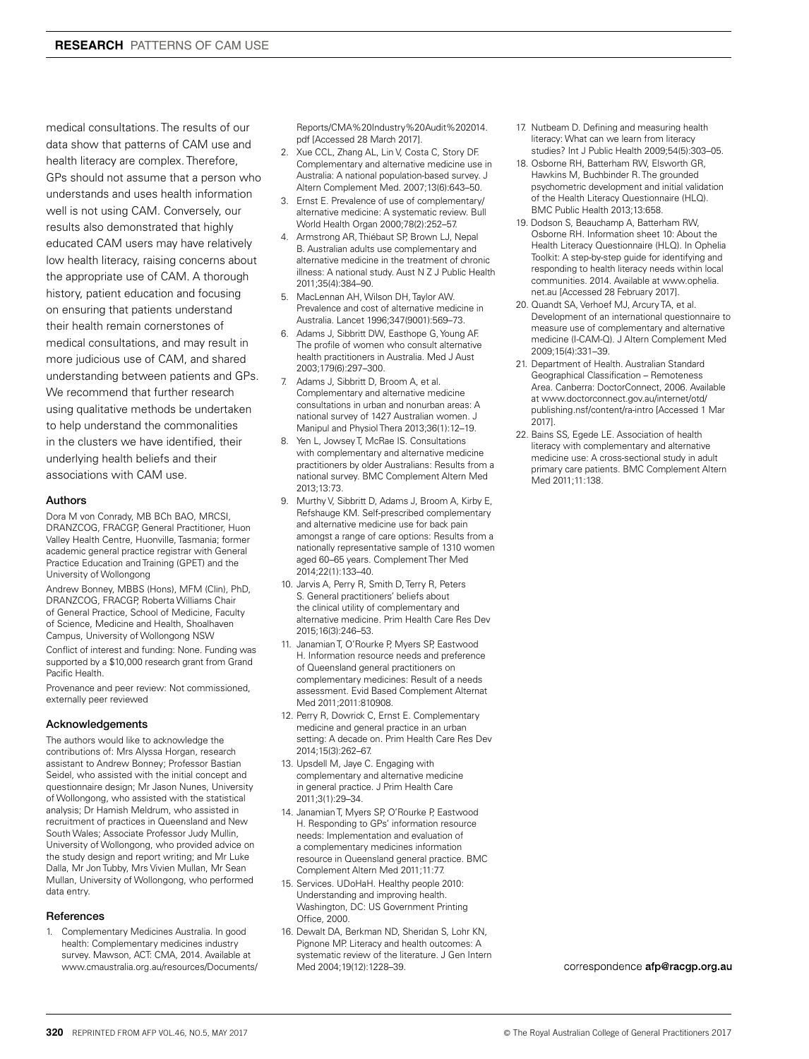medical consultations. The results of our data show that patterns of CAM use and health literacy are complex. Therefore, GPs should not assume that a person who understands and uses health information well is not using CAM. Conversely, our results also demonstrated that highly educated CAM users may have relatively low health literacy, raising concerns about the appropriate use of CAM. A thorough history, patient education and focusing on ensuring that patients understand their health remain cornerstones of medical consultations, and may result in more judicious use of CAM, and shared understanding between patients and GPs. We recommend that further research using qualitative methods be undertaken to help understand the commonalities in the clusters we have identified, their underlying health beliefs and their associations with CAM use.

#### Authors

Dora M von Conrady, MB BCh BAO, MRCSI, DRANZCOG, FRACGP, General Practitioner, Huon Valley Health Centre, Huonville, Tasmania; former academic general practice registrar with General Practice Education and Training (GPET) and the University of Wollongong

Andrew Bonney, MBBS (Hons), MFM (Clin), PhD, DRANZCOG, FRACGP, Roberta Williams Chair of General Practice, School of Medicine, Faculty of Science, Medicine and Health, Shoalhaven Campus, University of Wollongong NSW

Conflict of interest and funding: None. Funding was supported by a \$10,000 research grant from Grand Pacific Health.

Provenance and peer review: Not commissioned, externally peer reviewed

#### Acknowledgements

The authors would like to acknowledge the contributions of: Mrs Alyssa Horgan, research assistant to Andrew Bonney; Professor Bastian Seidel, who assisted with the initial concept and questionnaire design; Mr Jason Nunes, University of Wollongong, who assisted with the statistical analysis; Dr Hamish Meldrum, who assisted in recruitment of practices in Queensland and New South Wales; Associate Professor Judy Mullin, University of Wollongong, who provided advice on the study design and report writing; and Mr Luke Dalla, Mr Jon Tubby, Mrs Vivien Mullan, Mr Sean Mullan, University of Wollongong, who performed data entry.

#### References

1. Complementary Medicines Australia. In good health: Complementary medicines industry survey. Mawson, ACT: CMA, 2014. Available at www.cmaustralia.org.au/resources/Documents/

Reports/CMA%20Industry%20Audit%202014. pdf [Accessed 28 March 2017].

- 2. Xue CCL, Zhang AL, Lin V, Costa C, Story DF. Complementary and alternative medicine use in Australia: A national population-based survey. J Altern Complement Med. 2007;13(6):643–50.
- 3. Ernst E. Prevalence of use of complementary/ alternative medicine: A systematic review. Bull World Health Organ 2000;78(2):252–57.
- 4. Armstrong AR, Thiébaut SP, Brown LJ, Nepal B. Australian adults use complementary and alternative medicine in the treatment of chronic illness: A national study. Aust N Z J Public Health 2011;35(4):384–90.
- 5. MacLennan AH, Wilson DH, Taylor AW. Prevalence and cost of alternative medicine in Australia. Lancet 1996;347(9001):569–73.
- 6. Adams J, Sibbritt DW, Easthope G, Young AF. The profile of women who consult alternative health practitioners in Australia. Med J Aust 2003;179(6):297–300.
- 7. Adams J, Sibbritt D, Broom A, et al. Complementary and alternative medicine consultations in urban and nonurban areas: A national survey of 1427 Australian women. J Manipul and Physiol Thera 2013;36(1):12–19.
- 8. Yen L, Jowsey T, McRae IS. Consultations with complementary and alternative medicine practitioners by older Australians: Results from a national survey. BMC Complement Altern Med 2013;13:73.
- Murthy V, Sibbritt D, Adams J, Broom A, Kirby E, Refshauge KM. Self-prescribed complementary and alternative medicine use for back pain amongst a range of care options: Results from a nationally representative sample of 1310 women aged 60–65 years. Complement Ther Med 2014;22(1):133–40.
- 10. Jarvis A, Perry R, Smith D, Terry R, Peters S. General practitioners' beliefs about the clinical utility of complementary and alternative medicine. Prim Health Care Res Dev 2015;16(3):246–53.
- 11. Janamian T, O'Rourke P, Myers SP, Eastwood H. Information resource needs and preference of Queensland general practitioners on complementary medicines: Result of a needs assessment. Evid Based Complement Alternat Med 2011;2011:810908.
- 12. Perry R, Dowrick C, Ernst E. Complementary medicine and general practice in an urban setting: A decade on. Prim Health Care Res Dev 2014;15(3):262–67.
- 13. Upsdell M, Jaye C. Engaging with complementary and alternative medicine in general practice. J Prim Health Care 2011;3(1):29–34.
- 14. Janamian T, Myers SP, O'Rourke P, Eastwood H. Responding to GPs' information resource needs: Implementation and evaluation of a complementary medicines information resource in Queensland general practice. BMC Complement Altern Med 2011;11:77.
- 15. Services. UDoHaH. Healthy people 2010: Understanding and improving health. Washington, DC: US Government Printing Office, 2000.
- 16. Dewalt DA, Berkman ND, Sheridan S, Lohr KN, Pignone MP. Literacy and health outcomes: A systematic review of the literature. J Gen Intern Med 2004;19(12):1228–39.
- 17. Nutbeam D. Defining and measuring health literacy: What can we learn from literacy studies? Int J Public Health 2009;54(5):303–05.
- 18. Osborne RH, Batterham RW, Elsworth GR, Hawkins M, Buchbinder R. The grounded psychometric development and initial validation of the Health Literacy Questionnaire (HLQ). BMC Public Health 2013;13:658.
- 19. Dodson S, Beauchamp A, Batterham RW, Osborne RH. Information sheet 10: About the Health Literacy Questionnaire (HLQ). In Ophelia Toolkit: A step-by-step guide for identifying and responding to health literacy needs within local communities. 2014. Available at www.ophelia. net.au [Accessed 28 February 2017].
- 20. Quandt SA, Verhoef MJ, Arcury TA, et al. Development of an international questionnaire to measure use of complementary and alternative medicine (I-CAM-Q). J Altern Complement Med 2009;15(4):331–39.
- 21. Department of Health. Australian Standard Geographical Classification – Remoteness Area. Canberra: DoctorConnect, 2006. Available at www.doctorconnect.gov.au/internet/otd/ publishing.nsf/content/ra-intro [Accessed 1 Mar 2017].
- 22. Bains SS, Egede LE. Association of health literacy with complementary and alternative medicine use: A cross-sectional study in adult primary care patients. BMC Complement Altern Med 2011:11:138

correspondence afp@racgp.org.au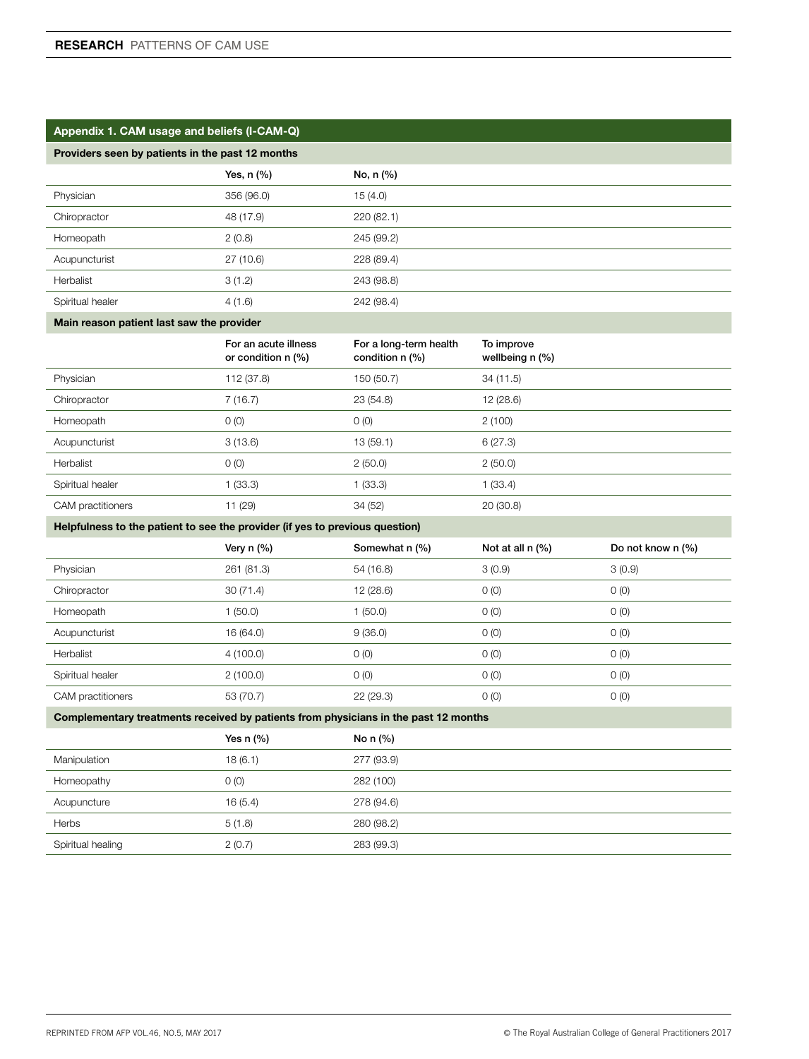## Appendix 1. CAM usage and beliefs (I-CAM-Q)

## Providers seen by patients in the past 12 months

|                  | Yes, $n$ $(\%)$ | No, n (%)  |  |
|------------------|-----------------|------------|--|
| Physician        | 356 (96.0)      | 15(4.0)    |  |
| Chiropractor     | 48 (17.9)       | 220(82.1)  |  |
| Homeopath        | 2(0.8)          | 245 (99.2) |  |
| Acupuncturist    | 27 (10.6)       | 228 (89.4) |  |
| Herbalist        | 3(1.2)          | 243 (98.8) |  |
| Spiritual healer | 4(1.6)          | 242 (98.4) |  |

## Main reason patient last saw the provider

|                   | For an acute illness<br>or condition $n$ (%) | For a long-term health<br>condition $n$ $(\%)$ | To improve<br>wellbeing n (%) |
|-------------------|----------------------------------------------|------------------------------------------------|-------------------------------|
| Physician         | 112 (37.8)                                   | 150 (50.7)                                     | 34 (11.5)                     |
| Chiropractor      | 7(16.7)                                      | 23(54.8)                                       | 12(28.6)                      |
| Homeopath         | O(0)                                         | O(0)                                           | 2(100)                        |
| Acupuncturist     | 3(13.6)                                      | 13(59.1)                                       | 6(27.3)                       |
| Herbalist         | O(0)                                         | 2(50.0)                                        | 2(50.0)                       |
| Spiritual healer  | 1(33.3)                                      | 1(33.3)                                        | 1(33.4)                       |
| CAM practitioners | 11 (29)                                      | 34 (52)                                        | 20(30.8)                      |

## Helpfulness to the patient to see the provider (if yes to previous question)

|                   | Very $n$ (%) | Somewhat n (%) | Not at all $n$ $(\%)$ | Do not know n (%) |
|-------------------|--------------|----------------|-----------------------|-------------------|
| Physician         | 261 (81.3)   | 54 (16.8)      | 3(0.9)                | 3(0.9)            |
| Chiropractor      | 30(71.4)     | 12(28.6)       | O(0)                  | O(0)              |
| Homeopath         | 1(50.0)      | 1(50.0)        | O(0)                  | O(0)              |
| Acupuncturist     | 16 (64.0)    | 9(36.0)        | O(0)                  | O(0)              |
| Herbalist         | 4(100.0)     | O(0)           | O(0)                  | O(0)              |
| Spiritual healer  | 2(100.0)     | O(0)           | O(0)                  | O(0)              |
| CAM practitioners | 53 (70.7)    | 22(29.3)       | O(0)                  | O(0)              |

## Complementary treatments received by patients from physicians in the past 12 months

|                   | Yes $n$ $%$ | No n $(\%)$ |  |
|-------------------|-------------|-------------|--|
| Manipulation      | 18(6.1)     | 277 (93.9)  |  |
| Homeopathy        | 0(0)        | 282 (100)   |  |
| Acupuncture       | 16(5.4)     | 278 (94.6)  |  |
| <b>Herbs</b>      | 5(1.8)      | 280 (98.2)  |  |
| Spiritual healing | 2(0.7)      | 283 (99.3)  |  |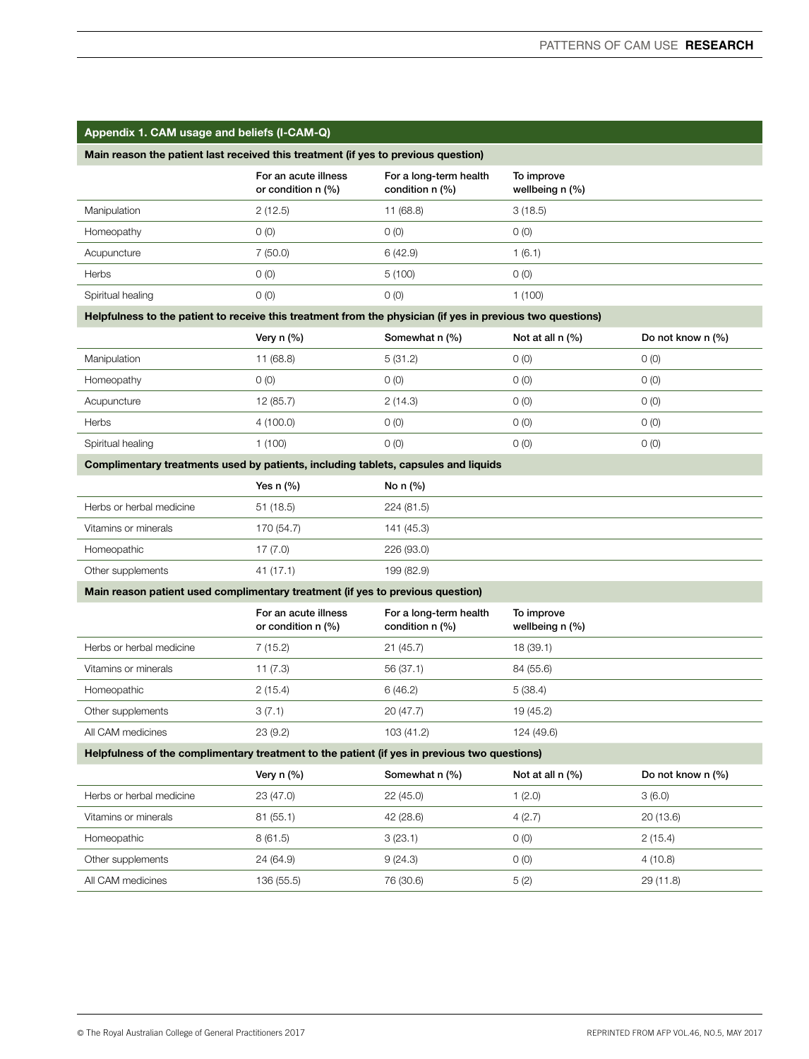| Appendix 1. CAM usage and beliefs (I-CAM-Q) |  |
|---------------------------------------------|--|
|---------------------------------------------|--|

|                   | For an acute illness<br>or condition $n$ $(\%)$ | For a long-term health<br>condition $n$ $(\%)$ | To improve<br>wellbeing n (%) |
|-------------------|-------------------------------------------------|------------------------------------------------|-------------------------------|
| Manipulation      | 2(12.5)                                         | 11 (68.8)                                      | 3(18.5)                       |
| Homeopathy        | 0(0)                                            | 0(0)                                           | O(0)                          |
| Acupuncture       | 7(50.0)                                         | 6(42.9)                                        | 1(6.1)                        |
| <b>Herbs</b>      | 0(0)                                            | 5(100)                                         | O(0)                          |
| Spiritual healing | 0(0)                                            | 0(0)                                           | 1 (100)                       |

## Helpfulness to the patient to receive this treatment from the physician (if yes in previous two questions)

|                   | Very $n$ (%) | Somewhat n (%) | Not at all $n$ $(\%)$ | Do not know n (%) |
|-------------------|--------------|----------------|-----------------------|-------------------|
| Manipulation      | 11 (68.8)    | 5(31.2)        | 0(0)                  | $O$ (O)           |
| Homeopathy        | 0 (0)        | (0)            | O(0)                  | O(0)              |
| Acupuncture       | 12 (85.7)    | 2(14.3)        | 0(0)                  | $O$ (O)           |
| Herbs             | 4 (100.0)    | O(0)           | O(0)                  | O(0)              |
| Spiritual healing | 1 (100)      | 0(0)           | 0(0)                  | 0(0)              |

## Complimentary treatments used by patients, including tablets, capsules and liquids

|                          | Yes $n$ $\left(\% \right)$ | No $n$ $%$ |
|--------------------------|----------------------------|------------|
| Herbs or herbal medicine | 51 (18.5)                  | 224 (81.5) |
| Vitamins or minerals     | 170 (54.7)                 | 141 (45.3) |
| Homeopathic              | 17 (7.0)                   | 226 (93.0) |
| Other supplements        | 41 (17.1)                  | 199 (82.9) |

### Main reason patient used complimentary treatment (if yes to previous question)

|                          | For an acute illness<br>or condition $n$ $(\%)$ | For a long-term health<br>condition $n$ (%) | To improve<br>wellbeing $n$ $\left(\frac{9}{6}\right)$ |
|--------------------------|-------------------------------------------------|---------------------------------------------|--------------------------------------------------------|
| Herbs or herbal medicine | 7(15.2)                                         | 21(45.7)                                    | 18 (39.1)                                              |
| Vitamins or minerals     | 11 (7.3)                                        | 56 (37.1)                                   | 84 (55.6)                                              |
| Homeopathic              | 2(15.4)                                         | 6(46.2)                                     | 5(38.4)                                                |
| Other supplements        | 3(7.1)                                          | 20(47.7)                                    | 19 (45.2)                                              |
| All CAM medicines        | 23(9.2)                                         | 103 (41.2)                                  | 124 (49.6)                                             |
|                          |                                                 |                                             |                                                        |

## Helpfulness of the complimentary treatment to the patient (if yes in previous two questions)

|                          | Very $n$ (%) | Somewhat n (%) | Not at all $n$ $(\%)$ | Do not know n (%) |
|--------------------------|--------------|----------------|-----------------------|-------------------|
| Herbs or herbal medicine | 23 (47.0)    | 22 (45.0)      | 1(2.0)                | 3(6.0)            |
| Vitamins or minerals     | 81 (55.1)    | 42 (28.6)      | 4(2.7)                | 20(13.6)          |
| Homeopathic              | 8(61.5)      | 3(23.1)        | O(0)                  | 2(15.4)           |
| Other supplements        | 24 (64.9)    | 9(24.3)        | O(0)                  | 4(10.8)           |
| All CAM medicines        | 136 (55.5)   | 76 (30.6)      | 5(2)                  | 29 (11.8)         |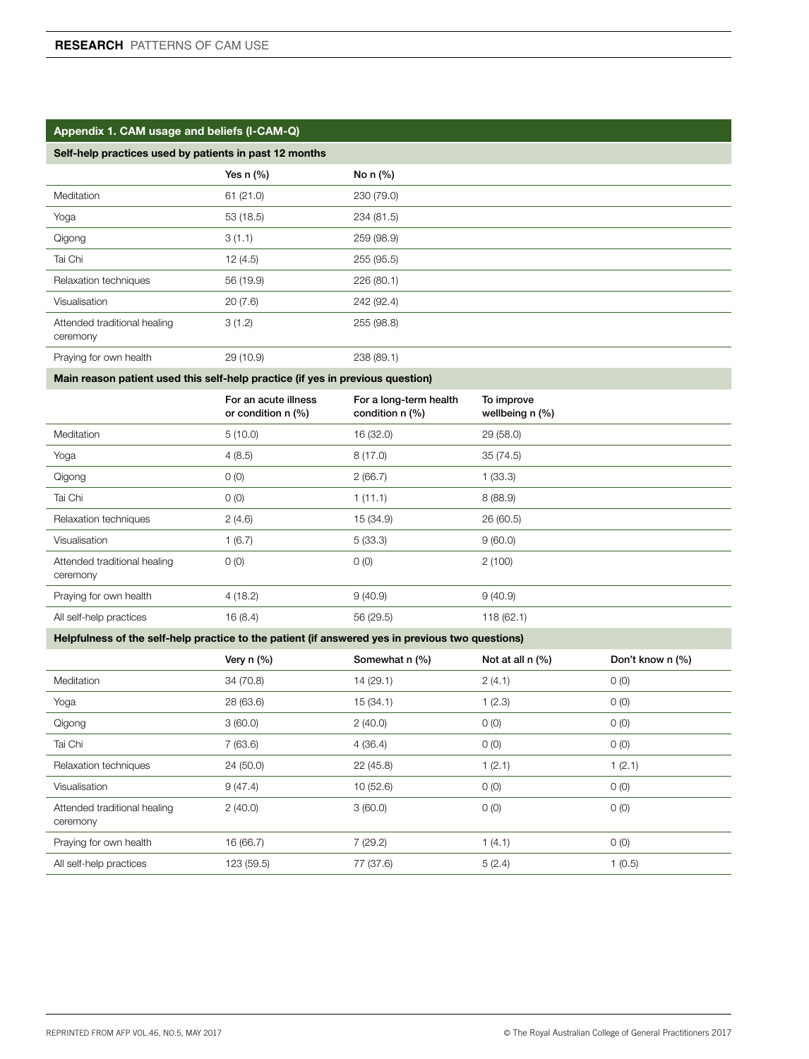| Self-help practices used by patients in past 12 months                                           |                                            |                                           |                               |                  |
|--------------------------------------------------------------------------------------------------|--------------------------------------------|-------------------------------------------|-------------------------------|------------------|
|                                                                                                  | Yes $n$ (%)                                | No n (%)                                  |                               |                  |
| Meditation                                                                                       | 61(21.0)                                   | 230 (79.0)                                |                               |                  |
| Yoga                                                                                             | 53 (18.5)                                  | 234 (81.5)                                |                               |                  |
| Qigong                                                                                           | 3(1.1)                                     | 259 (98.9)                                |                               |                  |
| Tai Chi                                                                                          | 12 (4.5)                                   | 255 (95.5)                                |                               |                  |
| Relaxation techniques                                                                            | 56 (19.9)                                  | 226 (80.1)                                |                               |                  |
| Visualisation                                                                                    | 20(7.6)                                    | 242 (92.4)                                |                               |                  |
| Attended traditional healing<br>ceremony                                                         | 3(1.2)                                     | 255 (98.8)                                |                               |                  |
| Praying for own health                                                                           | 29 (10.9)                                  | 238 (89.1)                                |                               |                  |
| Main reason patient used this self-help practice (if yes in previous question)                   |                                            |                                           |                               |                  |
|                                                                                                  | For an acute illness<br>or condition n (%) | For a long-term health<br>condition n (%) | To improve<br>wellbeing n (%) |                  |
| Meditation                                                                                       | 5(10.0)                                    | 16 (32.0)                                 | 29 (58.0)                     |                  |
| Yoga                                                                                             | 4(8.5)                                     | 8(17.0)                                   | 35(74.5)                      |                  |
| Qigong                                                                                           | 0(0)                                       | 2(66.7)                                   | 1(33.3)                       |                  |
| Tai Chi                                                                                          | 0(0)                                       | 1(11.1)                                   | 8(88.9)                       |                  |
| Relaxation techniques                                                                            | 2(4.6)                                     | 15 (34.9)                                 | 26 (60.5)                     |                  |
| Visualisation                                                                                    | 1(6.7)                                     | 5(33.3)                                   | 9(60.0)                       |                  |
| Attended traditional healing<br>ceremony                                                         | O(0)                                       | O(0)                                      | 2(100)                        |                  |
| Praying for own health                                                                           | 4(18.2)                                    | 9(40.9)                                   | 9(40.9)                       |                  |
| All self-help practices                                                                          | 16(8.4)                                    | 56 (29.5)                                 | 118(62.1)                     |                  |
| Helpfulness of the self-help practice to the patient (if answered yes in previous two questions) |                                            |                                           |                               |                  |
|                                                                                                  | Very $n$ (%)                               | Somewhat n (%)                            | Not at all n (%)              | Don't know n (%) |
| Meditation                                                                                       | 34 (70.8)                                  | 14 (29.1)                                 | 2(4.1)                        | 0(0)             |
| Yoga                                                                                             | 28 (63.6)                                  | 15 (34.1)                                 | 1(2.3)                        | O(0)             |
| Qigong                                                                                           | 3(60.0)                                    | 2(40.0)                                   | O(0)                          | O(0)             |
| Tai Chi                                                                                          | 7(63.6)                                    | 4(36.4)                                   | 0(0)                          | 0(0)             |
| Relaxation techniques                                                                            | 24 (50.0)                                  | 22 (45.8)                                 | 1(2.1)                        | 1(2.1)           |
| Visualisation                                                                                    | 9(47.4)                                    | 10(52.6)                                  | 0(0)                          | 0(0)             |
| Attended traditional healing<br>ceremony                                                         | 2(40.0)                                    | 3(60.0)                                   | 0(0)                          | O(0)             |
| Praying for own health                                                                           | 16 (66.7)                                  | 7(29.2)                                   | 1(4.1)                        | 0(0)             |
| All self-help practices                                                                          | 123 (59.5)                                 | 77 (37.6)                                 | 5(2.4)                        | 1(0.5)           |